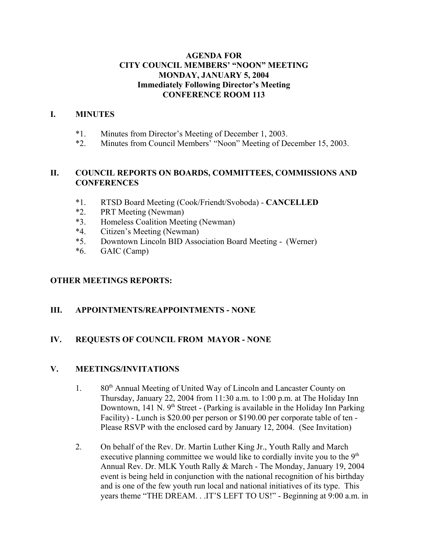#### **AGENDA FOR CITY COUNCIL MEMBERS' "NOON" MEETING MONDAY, JANUARY 5, 2004 Immediately Following Director's Meeting CONFERENCE ROOM 113**

#### **I. MINUTES**

- \*1. Minutes from Director's Meeting of December 1, 2003.
- \*2. Minutes from Council Members' "Noon" Meeting of December 15, 2003.

#### **II. COUNCIL REPORTS ON BOARDS, COMMITTEES, COMMISSIONS AND CONFERENCES**

- \*1. RTSD Board Meeting (Cook/Friendt/Svoboda) **CANCELLED**
- \*2. PRT Meeting (Newman)
- \*3. Homeless Coalition Meeting (Newman)
- \*4. Citizen's Meeting (Newman)
- \*5. Downtown Lincoln BID Association Board Meeting (Werner)
- \*6. GAIC (Camp)

#### **OTHER MEETINGS REPORTS:**

#### **III. APPOINTMENTS/REAPPOINTMENTS - NONE**

#### **IV. REQUESTS OF COUNCIL FROM MAYOR - NONE**

#### **V. MEETINGS/INVITATIONS**

- 1. 80<sup>th</sup> Annual Meeting of United Way of Lincoln and Lancaster County on Thursday, January 22, 2004 from 11:30 a.m. to 1:00 p.m. at The Holiday Inn Downtown, 141 N.  $9<sup>th</sup>$  Street - (Parking is available in the Holiday Inn Parking Facility) - Lunch is \$20.00 per person or \$190.00 per corporate table of ten - Please RSVP with the enclosed card by January 12, 2004. (See Invitation)
- 2. On behalf of the Rev. Dr. Martin Luther King Jr., Youth Rally and March executive planning committee we would like to cordially invite you to the  $9<sup>th</sup>$ Annual Rev. Dr. MLK Youth Rally & March - The Monday, January 19, 2004 event is being held in conjunction with the national recognition of his birthday and is one of the few youth run local and national initiatives of its type. This years theme "THE DREAM. . .IT'S LEFT TO US!" - Beginning at 9:00 a.m. in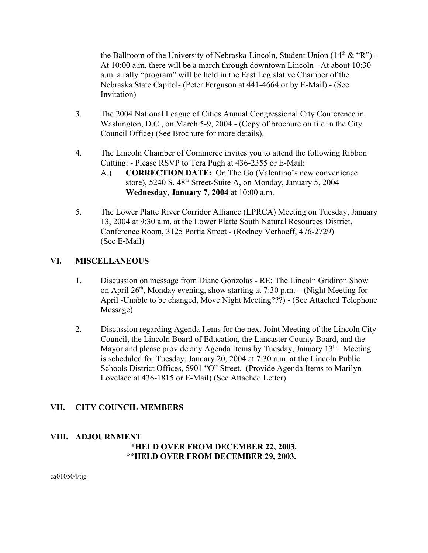the Ballroom of the University of Nebraska-Lincoln, Student Union  $(14<sup>th</sup> &$  "R") -At 10:00 a.m. there will be a march through downtown Lincoln - At about 10:30 a.m. a rally "program" will be held in the East Legislative Chamber of the Nebraska State Capitol- (Peter Ferguson at 441-4664 or by E-Mail) - (See Invitation)

- 3. The 2004 National League of Cities Annual Congressional City Conference in Washington, D.C., on March 5-9, 2004 - (Copy of brochure on file in the City Council Office) (See Brochure for more details).
- 4. The Lincoln Chamber of Commerce invites you to attend the following Ribbon Cutting: - Please RSVP to Tera Pugh at 436-2355 or E-Mail:
	- A.) **CORRECTION DATE:** On The Go (Valentino's new convenience store), 5240 S.  $48<sup>th</sup>$  Street-Suite A, on Monday, January 5, 2004 **Wednesday, January 7, 2004** at 10:00 a.m.
- 5. The Lower Platte River Corridor Alliance (LPRCA) Meeting on Tuesday, January 13, 2004 at 9:30 a.m. at the Lower Platte South Natural Resources District, Conference Room, 3125 Portia Street - (Rodney Verhoeff, 476-2729) (See E-Mail)

## **VI. MISCELLANEOUS**

- 1. Discussion on message from Diane Gonzolas RE: The Lincoln Gridiron Show on April  $26<sup>th</sup>$ , Monday evening, show starting at 7:30 p.m. – (Night Meeting for April -Unable to be changed, Move Night Meeting???) - (See Attached Telephone Message)
- 2. Discussion regarding Agenda Items for the next Joint Meeting of the Lincoln City Council, the Lincoln Board of Education, the Lancaster County Board, and the Mayor and please provide any Agenda Items by Tuesday, January  $13<sup>th</sup>$ . Meeting is scheduled for Tuesday, January 20, 2004 at 7:30 a.m. at the Lincoln Public Schools District Offices, 5901 "O" Street. (Provide Agenda Items to Marilyn Lovelace at 436-1815 or E-Mail) (See Attached Letter)

## **VII. CITY COUNCIL MEMBERS**

#### **VIII. ADJOURNMENT**

## **\*HELD OVER FROM DECEMBER 22, 2003. \*\*HELD OVER FROM DECEMBER 29, 2003.**

ca010504/tjg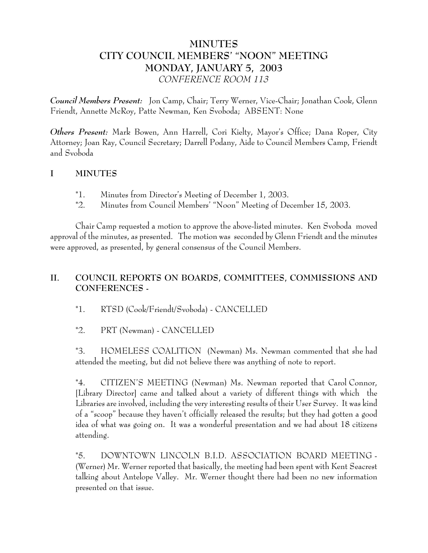# **MINUTES CITY COUNCIL MEMBERS' "NOON" MEETING MONDAY, JANUARY 5, 2003** *CONFERENCE ROOM 113*

*Council Members Present:* Jon Camp, Chair; Terry Werner, Vice-Chair; Jonathan Cook, Glenn Friendt, Annette McRoy, Patte Newman, Ken Svoboda; ABSENT: None

*Others Present:* Mark Bowen, Ann Harrell, Cori Kielty, Mayor's Office; Dana Roper, City Attorney; Joan Ray, Council Secretary; Darrell Podany, Aide to Council Members Camp, Friendt and Svoboda

## **I MINUTES**

- \*1. Minutes from Director's Meeting of December 1, 2003.
- \*2. Minutes from Council Members' "Noon" Meeting of December 15, 2003.

Chair Camp requested a motion to approve the above-listed minutes. Ken Svoboda moved approval of the minutes, as presented. The motion was seconded by Glenn Friendt and the minutes were approved, as presented, by general consensus of the Council Members.

# **II. COUNCIL REPORTS ON BOARDS, COMMITTEES, COMMISSIONS AND CONFERENCES -**

\*1. RTSD (Cook/Friendt/Svoboda) - CANCELLED

\*2. PRT (Newman) - CANCELLED

\*3. HOMELESS COALITION (Newman) Ms. Newman commented that she had attended the meeting, but did not believe there was anything of note to report.

\*4. CITIZEN'S MEETING (Newman) Ms. Newman reported that Carol Connor, [Library Director] came and talked about a variety of different things with which the Libraries are involved, including the very interesting results of their User Survey. It was kind of a "scoop" because they haven't officially released the results; but they had gotten a good idea of what was going on. It was a wonderful presentation and we had about 18 citizens attending.

\*5. DOWNTOWN LINCOLN B.I.D. ASSOCIATION BOARD MEETING - (Werner) Mr. Werner reported that basically, the meeting had been spent with Kent Seacrest talking about Antelope Valley. Mr. Werner thought there had been no new information presented on that issue.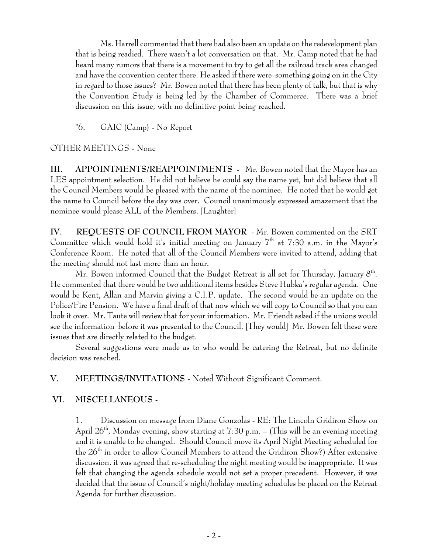Ms. Harrell commented that there had also been an update on the redevelopment plan that is being readied. There wasn't a lot conversation on that. Mr. Camp noted that he had heard many rumors that there is a movement to try to get all the railroad track area changed and have the convention center there. He asked if there were something going on in the City in regard to those issues? Mr. Bowen noted that there has been plenty of talk, but that is why the Convention Study is being led by the Chamber of Commerce. There was a brief discussion on this issue, with no definitive point being reached.

\*6. GAIC (Camp) - No Report

#### OTHER MEETINGS - None

**III. APPOINTMENTS/REAPPOINTMENTS -** Mr. Bowen noted that the Mayor has an LES appointment selection. He did not believe he could say the name yet, but did believe that all the Council Members would be pleased with the name of the nominee. He noted that he would get the name to Council before the day was over. Council unanimously expressed amazement that the nominee would please ALL of the Members. [Laughter]

**IV. REQUESTS OF COUNCIL FROM MAYOR** - Mr. Bowen commented on the SRT Committee which would hold it's initial meeting on January  $T<sup>th</sup>$  at 7:30 a.m. in the Mayor's Conference Room. He noted that all of the Council Members were invited to attend, adding that the meeting should not last more than an hour.

Mr. Bowen informed Council that the Budget Retreat is all set for Thursday, January  $8<sup>th</sup>$ . He commented that there would be two additional items besides Steve Hubka's regular agenda. One would be Kent, Allan and Marvin giving a C.I.P. update. The second would be an update on the Police/Fire Pension. We have a final draft of that now which we will copy to Council so that you can look it over. Mr. Taute will review that for your information. Mr. Friendt asked if the unions would see the information before it was presented to the Council. [They would] Mr. Bowen felt these were issues that are directly related to the budget.

Several suggestions were made as to who would be catering the Retreat, but no definite decision was reached.

**V. MEETINGS/INVITATIONS** - Noted Without Significant Comment.

## **VI. MISCELLANEOUS -**

1. Discussion on message from Diane Gonzolas - RE: The Lincoln Gridiron Show on April  $26<sup>th</sup>$ , Monday evening, show starting at 7:30 p.m. – (This will be an evening meeting and it is unable to be changed. Should Council move its April Night Meeting scheduled for the  $26^{\text{th}}$  in order to allow Council Members to attend the Gridiron Show?) After extensive discussion, it was agreed that re-scheduling the night meeting would be inappropriate. It was felt that changing the agenda schedule would not set a proper precedent. However, it was decided that the issue of Council's night/holiday meeting schedules be placed on the Retreat Agenda for further discussion.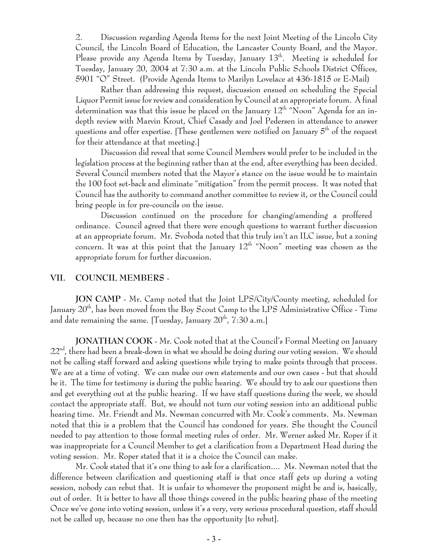2. Discussion regarding Agenda Items for the next Joint Meeting of the Lincoln City Council, the Lincoln Board of Education, the Lancaster County Board, and the Mayor. Please provide any Agenda Items by Tuesday, January  $13<sup>th</sup>$ . Meeting is scheduled for Tuesday, January 20, 2004 at 7:30 a.m. at the Lincoln Public Schools District Offices, 5901 "O" Street. (Provide Agenda Items to Marilyn Lovelace at 436-1815 or E-Mail)

Rather than addressing this request, discussion ensued on scheduling the Special Liquor Permit issue for review and consideration by Council at an appropriate forum. A final determination was that this issue be placed on the January  $12<sup>th</sup>$  "Noon" Agenda for an indepth review with Marvin Krout, Chief Casady and Joel Pedersen in attendance to answer questions and offer expertise. [These gentlemen were notified on January  $5<sup>th</sup>$  of the request for their attendance at that meeting.]

Discussion did reveal that some Council Members would prefer to be included in the legislation process at the beginning rather than at the end, after everything has been decided. Several Council members noted that the Mayor's stance on the issue would be to maintain the 100 foot set-back and eliminate "mitigation" from the permit process. It was noted that Council has the authority to command another committee to review it, or the Council could bring people in for pre-councils on the issue.

Discussion continued on the procedure for changing/amending a proffered ordinance. Council agreed that there were enough questions to warrant further discussion at an appropriate forum. Mr. Svoboda noted that this truly isn't an ILC issue, but a zoning concern. It was at this point that the January  $12<sup>th</sup>$  "Noon" meeting was chosen as the appropriate forum for further discussion.

#### **VII. COUNCIL MEMBERS** -

**JON CAMP** - Mr. Camp noted that the Joint LPS/City/County meeting, scheduled for January  $20<sup>th</sup>$ , has been moved from the Boy Scout Camp to the LPS Administrative Office - Time and date remaining the same. [Tuesday, January  $20<sup>th</sup>$ , 7:30 a.m.]

**JONATHAN COOK** - Mr. Cook noted that at the Council's Formal Meeting on January  $22<sup>nd</sup>$ , there had been a break-down in what we should be doing during our voting session. We should not be calling staff forward and asking questions while trying to make points through that process. We are at a time of voting. We can make our own statements and our own cases - but that should be it. The time for testimony is during the public hearing. We should try to ask our questions then and get everything out at the public hearing. If we have staff questions during the week, we should contact the appropriate staff. But, we should not turn our voting session into an additional public hearing time. Mr. Friendt and Ms. Newman concurred with Mr. Cook's comments. Ms. Newman noted that this is a problem that the Council has condoned for years. She thought the Council needed to pay attention to those formal meeting rules of order. Mr. Werner asked Mr. Roper if it was inappropriate for a Council Member to get a clarification from a Department Head during the voting session. Mr. Roper stated that it is a choice the Council can make.

Mr. Cook stated that it's one thing to ask for a clarification.... Ms. Newman noted that the difference between clarification and questioning staff is that once staff gets up during a voting session, nobody can rebut that. It is unfair to whomever the proponent might be and is, basically, out of order. It is better to have all those things covered in the public hearing phase of the meeting Once we've gone into voting session, unless it's a very, very serious procedural question, staff should not be called up, because no one then has the opportunity [to rebut].